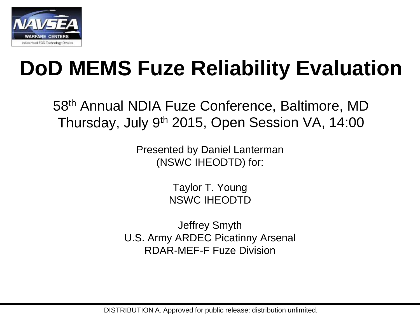

### **DoD MEMS Fuze Reliability Evaluation**

58th Annual NDIA Fuze Conference, Baltimore, MD Thursday, July 9th 2015, Open Session VA, 14:00

> Presented by Daniel Lanterman (NSWC IHEODTD) for:

> > Taylor T. Young NSWC IHEODTD

Jeffrey Smyth U.S. Army ARDEC Picatinny Arsenal RDAR-MEF-F Fuze Division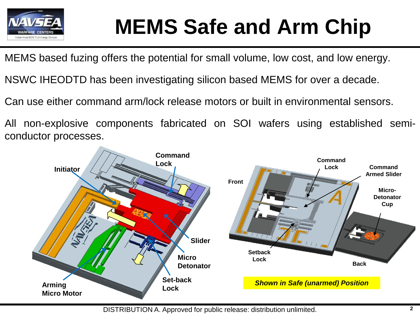

# **MEMS Safe and Arm Chip**

MEMS based fuzing offers the potential for small volume, low cost, and low energy.

NSWC IHEODTD has been investigating silicon based MEMS for over a decade.

Can use either command arm/lock release motors or built in environmental sensors.

All non-explosive components fabricated on SOI wafers using established semiconductor processes.

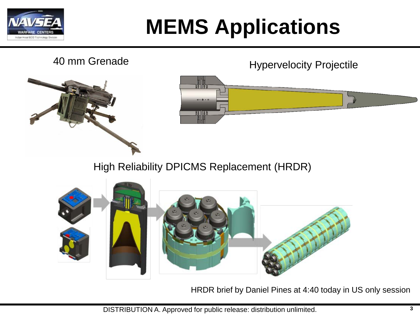

# **MEMS Applications**

#### 40 mm Grenade Hypervelocity Projectile



 $0.0.0$ 

High Reliability DPICMS Replacement (HRDR)



HRDR brief by Daniel Pines at 4:40 today in US only session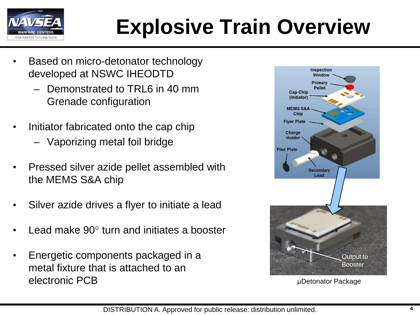

# **Explosive Train Overview**

- Based on micro-detonator technology developed at NSWC IHEODTD
	- Demonstrated to TRL6 in 40 mm Grenade configuration
- Initiator fabricated onto the cap chip
	- Vaporizing metal foil bridge
- Pressed silver azide pellet assembled with the MEMS S&A chip
- Silver azide drives a flyer to initiate a lead
- Lead make 90° turn and initiates a booster
- Energetic components packaged in a metal fixture that is attached to an electronic PCB μDetonator Package

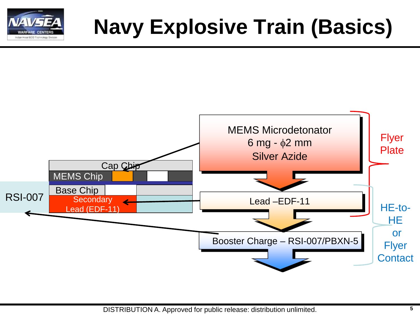

# **Navy Explosive Train (Basics)**

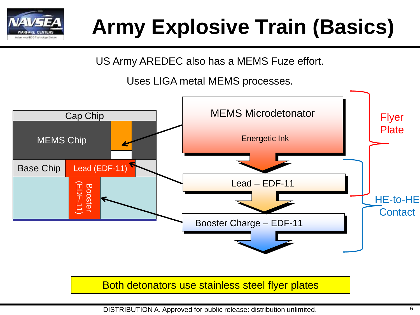

# **Army Explosive Train (Basics)**

US Army AREDEC also has a MEMS Fuze effort.

Uses LIGA metal MEMS processes.



Both detonators use stainless steel flyer plates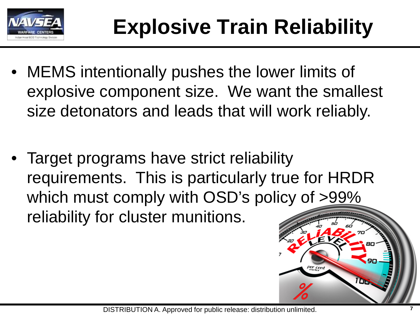

- MEMS intentionally pushes the lower limits of explosive component size. We want the smallest size detonators and leads that will work reliably.
- Target programs have strict reliability requirements. This is particularly true for HRDR which must comply with OSD's policy of >99% reliability for cluster munitions.

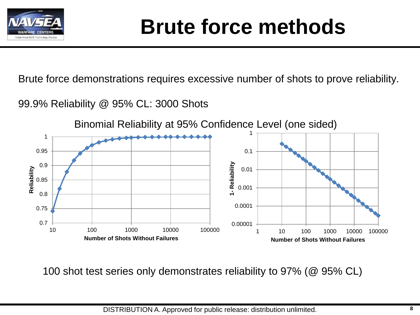

### **Brute force methods**

Brute force demonstrations requires excessive number of shots to prove reliability.

99.9% Reliability @ 95% CL: 3000 Shots



100 shot test series only demonstrates reliability to 97% (@ 95% CL)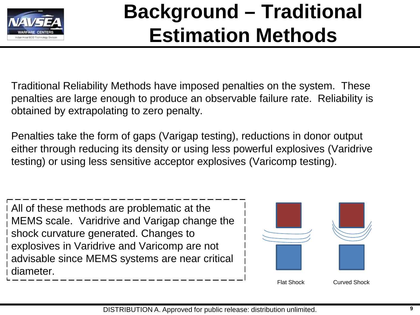

### **Background – Traditional Estimation Methods**

Traditional Reliability Methods have imposed penalties on the system. These penalties are large enough to produce an observable failure rate. Reliability is obtained by extrapolating to zero penalty.

Penalties take the form of gaps (Varigap testing), reductions in donor output either through reducing its density or using less powerful explosives (Varidrive testing) or using less sensitive acceptor explosives (Varicomp testing).

All of these methods are problematic at the MEMS scale. Varidrive and Varigap change the shock curvature generated. Changes to explosives in Varidrive and Varicomp are not advisable since MEMS systems are near critical diameter.

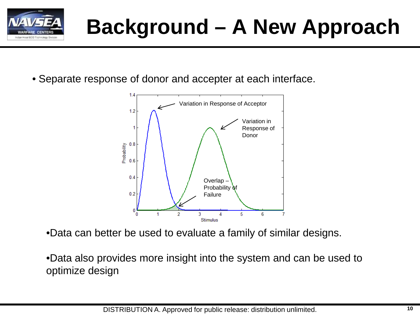

# **Background – A New Approach**

• Separate response of donor and accepter at each interface.



•Data can better be used to evaluate a family of similar designs.

•Data also provides more insight into the system and can be used to optimize design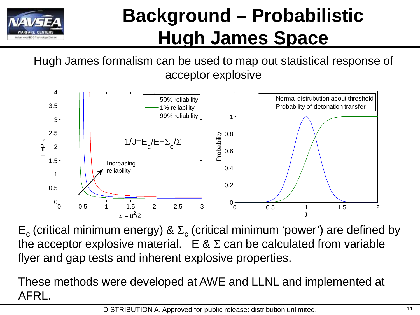

### **Background – Probabilistic Hugh James Space**

Hugh James formalism can be used to map out statistical response of acceptor explosive



 $E_c$  (critical minimum energy) &  $\Sigma_c$  (critical minimum 'power') are defined by the acceptor explosive material.  $E \& \Sigma$  can be calculated from variable flyer and gap tests and inherent explosive properties.

These methods were developed at AWE and LLNL and implemented at AFRL.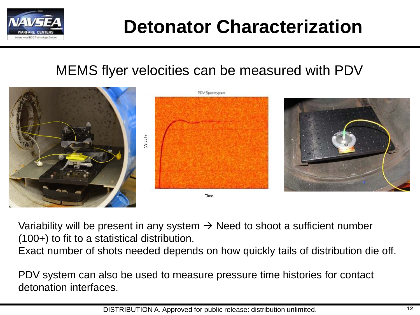

### **Detonator Characterization**

#### MEMS flyer velocities can be measured with PDV



Variability will be present in any system  $\rightarrow$  Need to shoot a sufficient number (100+) to fit to a statistical distribution.

Exact number of shots needed depends on how quickly tails of distribution die off.

PDV system can also be used to measure pressure time histories for contact detonation interfaces.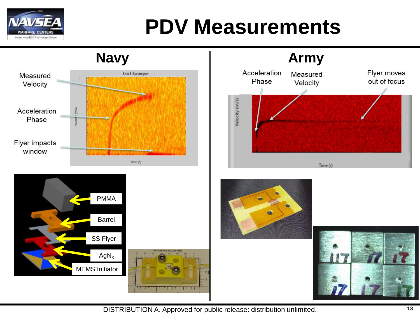

### **PDV Measurements**











DISTRIBUTION A. Approved for public release: distribution unlimited. **13**

1 M.W 11.14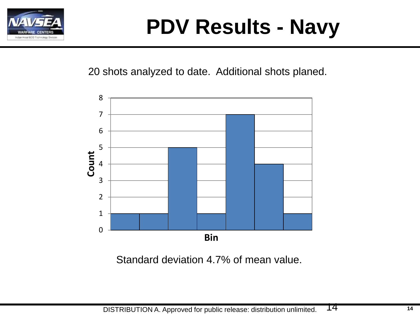

# **PDV Results - Navy**

20 shots analyzed to date. Additional shots planed.



Standard deviation 4.7% of mean value.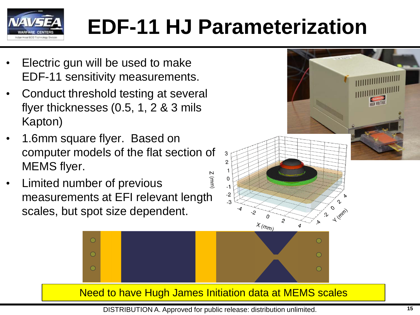

# **EDF-11 HJ Parameterization**

- Electric gun will be used to make EDF-11 sensitivity measurements.
- Conduct threshold testing at several flyer thicknesses (0.5, 1, 2 & 3 mils Kapton)
- 1.6mm square flyer. Based on computer models of the flat section of MEMS flyer.
- $2$  (mm) • Limited number of previous measurements at EFI relevant length scales, but spot size dependent.

 $\bigcirc$ 

 $\bigcirc$ 

 $\bigcirc$ 



⊙

 $\bigcirc$ 

Need to have Hugh James Initiation data at MEMS scales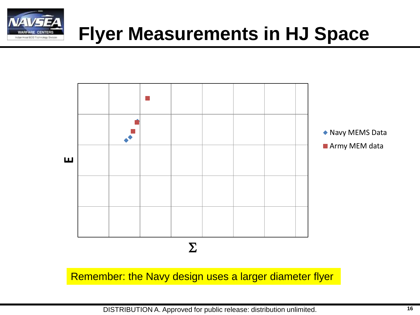

### **Flyer Measurements in HJ Space**

![](_page_15_Figure_2.jpeg)

Remember: the Navy design uses a larger diameter flyer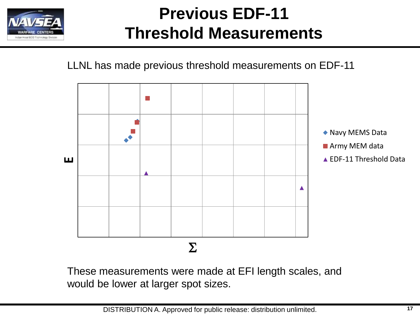![](_page_16_Picture_0.jpeg)

#### **Previous EDF-11 Threshold Measurements**

LLNL has made previous threshold measurements on EDF-11

![](_page_16_Figure_3.jpeg)

These measurements were made at EFI length scales, and would be lower at larger spot sizes.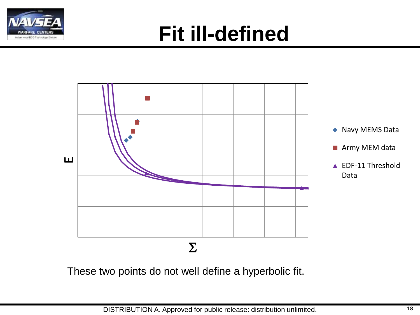![](_page_17_Picture_0.jpeg)

### **Fit ill-defined**

![](_page_17_Figure_2.jpeg)

These two points do not well define a hyperbolic fit.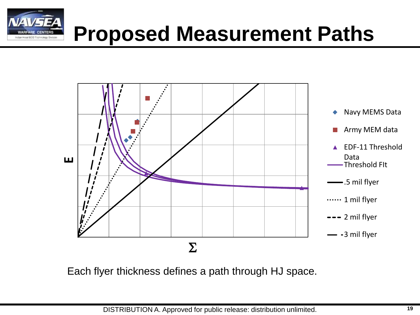![](_page_18_Picture_0.jpeg)

![](_page_18_Figure_1.jpeg)

Each flyer thickness defines a path through HJ space.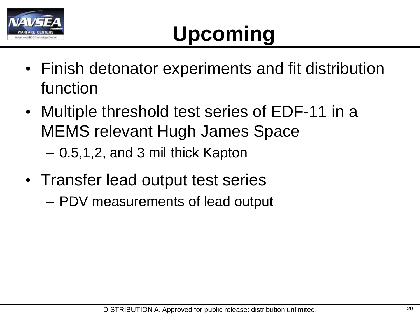![](_page_19_Picture_0.jpeg)

# **Upcoming**

- Finish detonator experiments and fit distribution function
- Multiple threshold test series of EDF-11 in a MEMS relevant Hugh James Space – 0.5,1,2, and 3 mil thick Kapton
- Transfer lead output test series
	- PDV measurements of lead output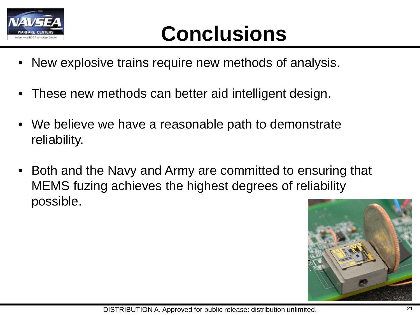![](_page_20_Picture_0.jpeg)

## **Conclusions**

- New explosive trains require new methods of analysis.
- These new methods can better aid intelligent design.
- We believe we have a reasonable path to demonstrate reliability.
- Both and the Navy and Army are committed to ensuring that MEMS fuzing achieves the highest degrees of reliability possible.

![](_page_20_Picture_6.jpeg)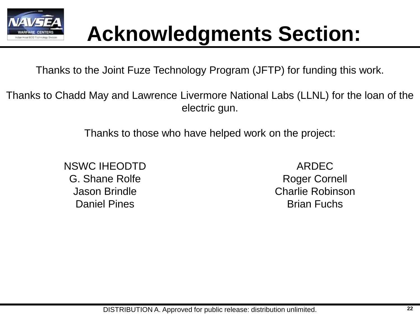![](_page_21_Picture_0.jpeg)

### **Acknowledgments Section:**

Thanks to the Joint Fuze Technology Program (JFTP) for funding this work.

Thanks to Chadd May and Lawrence Livermore National Labs (LLNL) for the loan of the electric gun.

Thanks to those who have helped work on the project:

NSWC IHEODTD G. Shane Rolfe Jason Brindle Daniel Pines

ARDEC Roger Cornell Charlie Robinson Brian Fuchs